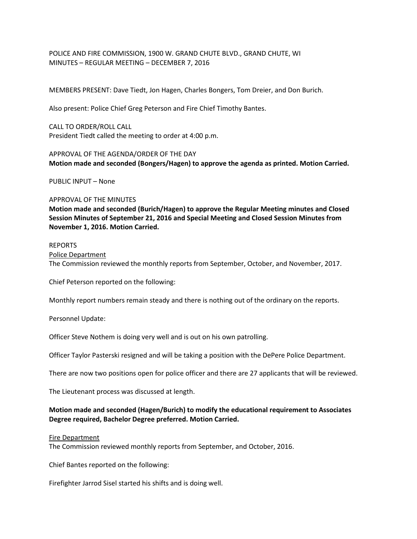POLICE AND FIRE COMMISSION, 1900 W. GRAND CHUTE BLVD., GRAND CHUTE, WI MINUTES – REGULAR MEETING – DECEMBER 7, 2016

MEMBERS PRESENT: Dave Tiedt, Jon Hagen, Charles Bongers, Tom Dreier, and Don Burich.

Also present: Police Chief Greg Peterson and Fire Chief Timothy Bantes.

CALL TO ORDER/ROLL CALL President Tiedt called the meeting to order at 4:00 p.m.

#### APPROVAL OF THE AGENDA/ORDER OF THE DAY

**Motion made and seconded (Bongers/Hagen) to approve the agenda as printed. Motion Carried.** 

PUBLIC INPUT – None

### APPROVAL OF THE MINUTES

**Motion made and seconded (Burich/Hagen) to approve the Regular Meeting minutes and Closed Session Minutes of September 21, 2016 and Special Meeting and Closed Session Minutes from November 1, 2016. Motion Carried.**

#### REPORTS

Police Department

The Commission reviewed the monthly reports from September, October, and November, 2017.

Chief Peterson reported on the following:

Monthly report numbers remain steady and there is nothing out of the ordinary on the reports.

Personnel Update:

Officer Steve Nothem is doing very well and is out on his own patrolling.

Officer Taylor Pasterski resigned and will be taking a position with the DePere Police Department.

There are now two positions open for police officer and there are 27 applicants that will be reviewed.

The Lieutenant process was discussed at length.

# **Motion made and seconded (Hagen/Burich) to modify the educational requirement to Associates Degree required, Bachelor Degree preferred. Motion Carried.**

#### Fire Department

The Commission reviewed monthly reports from September, and October, 2016.

Chief Bantes reported on the following:

Firefighter Jarrod Sisel started his shifts and is doing well.